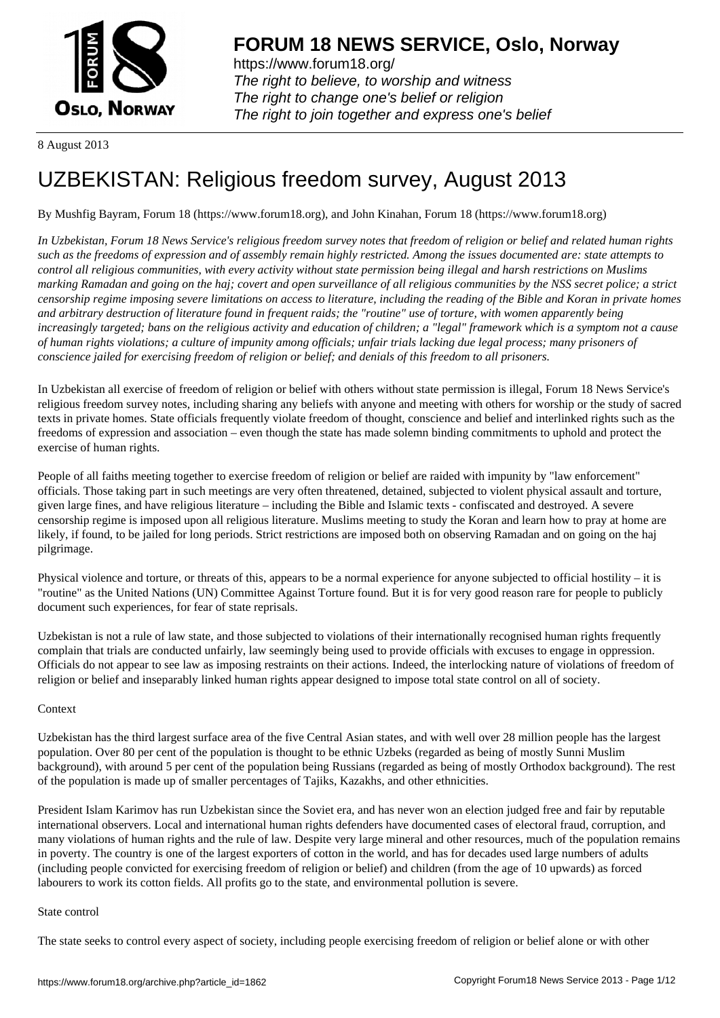

https://www.forum18.org/ The right to believe, to worship and witness The right to change one's belief or religion [The right to join together a](https://www.forum18.org/)nd express one's belief

8 August 2013

# [UZBEKISTAN:](https://www.forum18.org) Religious freedom survey, August 2013

By Mushfig Bayram, Forum 18 (https://www.forum18.org), and John Kinahan, Forum 18 (https://www.forum18.org)

*In Uzbekistan, Forum 18 News Service's religious freedom survey notes that freedom of religion or belief and related human rights such as the freedoms of expression and of assembly remain highly restricted. Among the issues documented are: state attempts to control all religious communities, with every activity without state permission being illegal and harsh restrictions on Muslims marking Ramadan and going on the haj; covert and open surveillance of all religious communities by the NSS secret police; a strict censorship regime imposing severe limitations on access to literature, including the reading of the Bible and Koran in private homes and arbitrary destruction of literature found in frequent raids; the "routine" use of torture, with women apparently being increasingly targeted; bans on the religious activity and education of children; a "legal" framework which is a symptom not a cause of human rights violations; a culture of impunity among officials; unfair trials lacking due legal process; many prisoners of conscience jailed for exercising freedom of religion or belief; and denials of this freedom to all prisoners.*

In Uzbekistan all exercise of freedom of religion or belief with others without state permission is illegal, Forum 18 News Service's religious freedom survey notes, including sharing any beliefs with anyone and meeting with others for worship or the study of sacred texts in private homes. State officials frequently violate freedom of thought, conscience and belief and interlinked rights such as the freedoms of expression and association – even though the state has made solemn binding commitments to uphold and protect the exercise of human rights.

People of all faiths meeting together to exercise freedom of religion or belief are raided with impunity by "law enforcement" officials. Those taking part in such meetings are very often threatened, detained, subjected to violent physical assault and torture, given large fines, and have religious literature – including the Bible and Islamic texts - confiscated and destroyed. A severe censorship regime is imposed upon all religious literature. Muslims meeting to study the Koran and learn how to pray at home are likely, if found, to be jailed for long periods. Strict restrictions are imposed both on observing Ramadan and on going on the haj pilgrimage.

Physical violence and torture, or threats of this, appears to be a normal experience for anyone subjected to official hostility – it is "routine" as the United Nations (UN) Committee Against Torture found. But it is for very good reason rare for people to publicly document such experiences, for fear of state reprisals.

Uzbekistan is not a rule of law state, and those subjected to violations of their internationally recognised human rights frequently complain that trials are conducted unfairly, law seemingly being used to provide officials with excuses to engage in oppression. Officials do not appear to see law as imposing restraints on their actions. Indeed, the interlocking nature of violations of freedom of religion or belief and inseparably linked human rights appear designed to impose total state control on all of society.

## **Context**

Uzbekistan has the third largest surface area of the five Central Asian states, and with well over 28 million people has the largest population. Over 80 per cent of the population is thought to be ethnic Uzbeks (regarded as being of mostly Sunni Muslim background), with around 5 per cent of the population being Russians (regarded as being of mostly Orthodox background). The rest of the population is made up of smaller percentages of Tajiks, Kazakhs, and other ethnicities.

President Islam Karimov has run Uzbekistan since the Soviet era, and has never won an election judged free and fair by reputable international observers. Local and international human rights defenders have documented cases of electoral fraud, corruption, and many violations of human rights and the rule of law. Despite very large mineral and other resources, much of the population remains in poverty. The country is one of the largest exporters of cotton in the world, and has for decades used large numbers of adults (including people convicted for exercising freedom of religion or belief) and children (from the age of 10 upwards) as forced labourers to work its cotton fields. All profits go to the state, and environmental pollution is severe.

## State control

The state seeks to control every aspect of society, including people exercising freedom of religion or belief alone or with other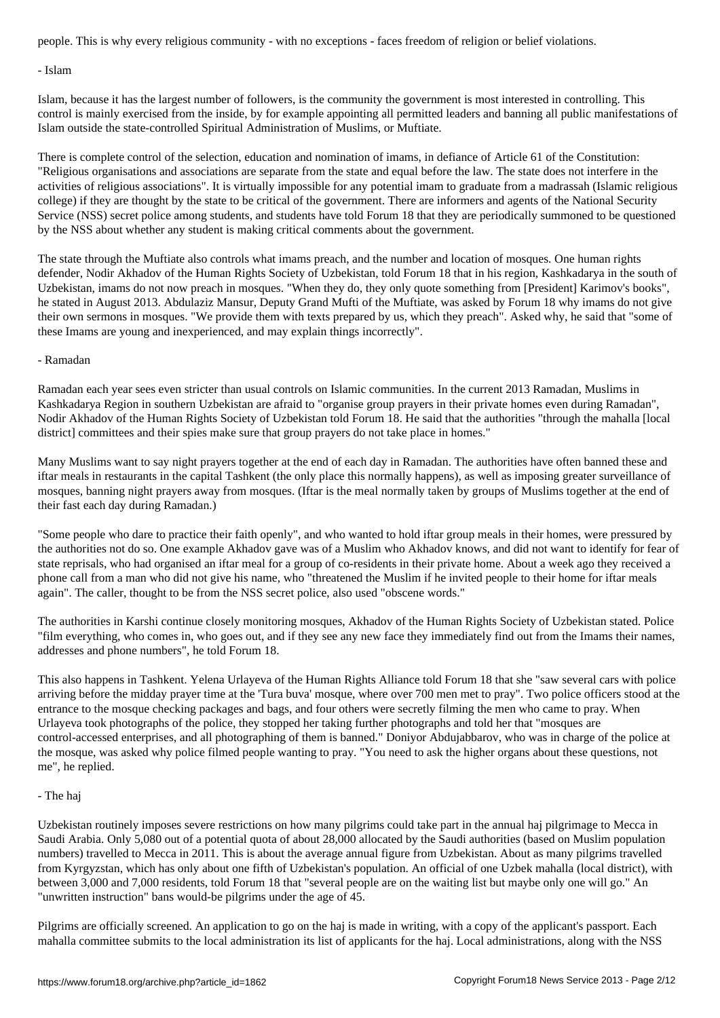- Islam

Islam, because it has the largest number of followers, is the community the government is most interested in controlling. This control is mainly exercised from the inside, by for example appointing all permitted leaders and banning all public manifestations of Islam outside the state-controlled Spiritual Administration of Muslims, or Muftiate.

There is complete control of the selection, education and nomination of imams, in defiance of Article 61 of the Constitution: "Religious organisations and associations are separate from the state and equal before the law. The state does not interfere in the activities of religious associations". It is virtually impossible for any potential imam to graduate from a madrassah (Islamic religious college) if they are thought by the state to be critical of the government. There are informers and agents of the National Security Service (NSS) secret police among students, and students have told Forum 18 that they are periodically summoned to be questioned by the NSS about whether any student is making critical comments about the government.

The state through the Muftiate also controls what imams preach, and the number and location of mosques. One human rights defender, Nodir Akhadov of the Human Rights Society of Uzbekistan, told Forum 18 that in his region, Kashkadarya in the south of Uzbekistan, imams do not now preach in mosques. "When they do, they only quote something from [President] Karimov's books", he stated in August 2013. Abdulaziz Mansur, Deputy Grand Mufti of the Muftiate, was asked by Forum 18 why imams do not give their own sermons in mosques. "We provide them with texts prepared by us, which they preach". Asked why, he said that "some of these Imams are young and inexperienced, and may explain things incorrectly".

## - Ramadan

Ramadan each year sees even stricter than usual controls on Islamic communities. In the current 2013 Ramadan, Muslims in Kashkadarya Region in southern Uzbekistan are afraid to "organise group prayers in their private homes even during Ramadan", Nodir Akhadov of the Human Rights Society of Uzbekistan told Forum 18. He said that the authorities "through the mahalla [local district] committees and their spies make sure that group prayers do not take place in homes."

Many Muslims want to say night prayers together at the end of each day in Ramadan. The authorities have often banned these and iftar meals in restaurants in the capital Tashkent (the only place this normally happens), as well as imposing greater surveillance of mosques, banning night prayers away from mosques. (Iftar is the meal normally taken by groups of Muslims together at the end of their fast each day during Ramadan.)

"Some people who dare to practice their faith openly", and who wanted to hold iftar group meals in their homes, were pressured by the authorities not do so. One example Akhadov gave was of a Muslim who Akhadov knows, and did not want to identify for fear of state reprisals, who had organised an iftar meal for a group of co-residents in their private home. About a week ago they received a phone call from a man who did not give his name, who "threatened the Muslim if he invited people to their home for iftar meals again". The caller, thought to be from the NSS secret police, also used "obscene words."

The authorities in Karshi continue closely monitoring mosques, Akhadov of the Human Rights Society of Uzbekistan stated. Police "film everything, who comes in, who goes out, and if they see any new face they immediately find out from the Imams their names, addresses and phone numbers", he told Forum 18.

This also happens in Tashkent. Yelena Urlayeva of the Human Rights Alliance told Forum 18 that she "saw several cars with police arriving before the midday prayer time at the 'Tura buva' mosque, where over 700 men met to pray". Two police officers stood at the entrance to the mosque checking packages and bags, and four others were secretly filming the men who came to pray. When Urlayeva took photographs of the police, they stopped her taking further photographs and told her that "mosques are control-accessed enterprises, and all photographing of them is banned." Doniyor Abdujabbarov, who was in charge of the police at the mosque, was asked why police filmed people wanting to pray. "You need to ask the higher organs about these questions, not me", he replied.

## - The haj

Uzbekistan routinely imposes severe restrictions on how many pilgrims could take part in the annual haj pilgrimage to Mecca in Saudi Arabia. Only 5,080 out of a potential quota of about 28,000 allocated by the Saudi authorities (based on Muslim population numbers) travelled to Mecca in 2011. This is about the average annual figure from Uzbekistan. About as many pilgrims travelled from Kyrgyzstan, which has only about one fifth of Uzbekistan's population. An official of one Uzbek mahalla (local district), with between 3,000 and 7,000 residents, told Forum 18 that "several people are on the waiting list but maybe only one will go." An "unwritten instruction" bans would-be pilgrims under the age of 45.

Pilgrims are officially screened. An application to go on the haj is made in writing, with a copy of the applicant's passport. Each mahalla committee submits to the local administration its list of applicants for the haj. Local administrations, along with the NSS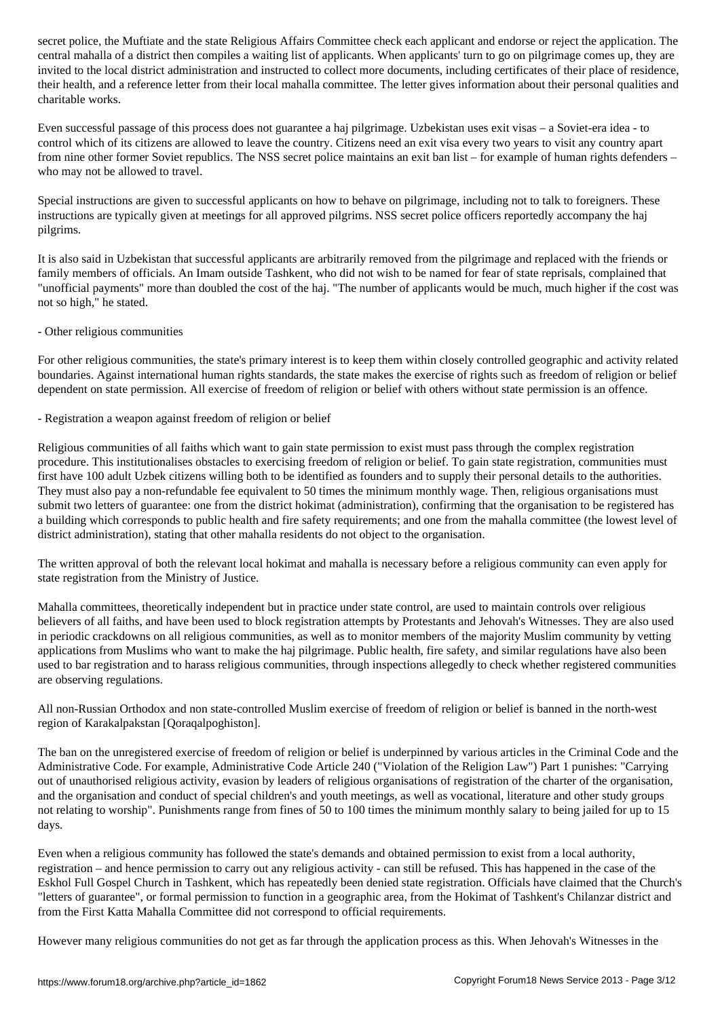central mahalla of a district then compiles a waiting list of applicants. When applicants' turn to go on pilgrimage comes up, they are invited to the local district administration and instructed to collect more documents, including certificates of their place of residence, their health, and a reference letter from their local mahalla committee. The letter gives information about their personal qualities and charitable works.

Even successful passage of this process does not guarantee a haj pilgrimage. Uzbekistan uses exit visas – a Soviet-era idea - to control which of its citizens are allowed to leave the country. Citizens need an exit visa every two years to visit any country apart from nine other former Soviet republics. The NSS secret police maintains an exit ban list – for example of human rights defenders – who may not be allowed to travel.

Special instructions are given to successful applicants on how to behave on pilgrimage, including not to talk to foreigners. These instructions are typically given at meetings for all approved pilgrims. NSS secret police officers reportedly accompany the haj pilgrims.

It is also said in Uzbekistan that successful applicants are arbitrarily removed from the pilgrimage and replaced with the friends or family members of officials. An Imam outside Tashkent, who did not wish to be named for fear of state reprisals, complained that "unofficial payments" more than doubled the cost of the haj. "The number of applicants would be much, much higher if the cost was not so high," he stated.

## - Other religious communities

For other religious communities, the state's primary interest is to keep them within closely controlled geographic and activity related boundaries. Against international human rights standards, the state makes the exercise of rights such as freedom of religion or belief dependent on state permission. All exercise of freedom of religion or belief with others without state permission is an offence.

- Registration a weapon against freedom of religion or belief

Religious communities of all faiths which want to gain state permission to exist must pass through the complex registration procedure. This institutionalises obstacles to exercising freedom of religion or belief. To gain state registration, communities must first have 100 adult Uzbek citizens willing both to be identified as founders and to supply their personal details to the authorities. They must also pay a non-refundable fee equivalent to 50 times the minimum monthly wage. Then, religious organisations must submit two letters of guarantee: one from the district hokimat (administration), confirming that the organisation to be registered has a building which corresponds to public health and fire safety requirements; and one from the mahalla committee (the lowest level of district administration), stating that other mahalla residents do not object to the organisation.

The written approval of both the relevant local hokimat and mahalla is necessary before a religious community can even apply for state registration from the Ministry of Justice.

Mahalla committees, theoretically independent but in practice under state control, are used to maintain controls over religious believers of all faiths, and have been used to block registration attempts by Protestants and Jehovah's Witnesses. They are also used in periodic crackdowns on all religious communities, as well as to monitor members of the majority Muslim community by vetting applications from Muslims who want to make the haj pilgrimage. Public health, fire safety, and similar regulations have also been used to bar registration and to harass religious communities, through inspections allegedly to check whether registered communities are observing regulations.

All non-Russian Orthodox and non state-controlled Muslim exercise of freedom of religion or belief is banned in the north-west region of Karakalpakstan [Qoraqalpoghiston].

The ban on the unregistered exercise of freedom of religion or belief is underpinned by various articles in the Criminal Code and the Administrative Code. For example, Administrative Code Article 240 ("Violation of the Religion Law") Part 1 punishes: "Carrying out of unauthorised religious activity, evasion by leaders of religious organisations of registration of the charter of the organisation, and the organisation and conduct of special children's and youth meetings, as well as vocational, literature and other study groups not relating to worship". Punishments range from fines of 50 to 100 times the minimum monthly salary to being jailed for up to 15 days.

Even when a religious community has followed the state's demands and obtained permission to exist from a local authority, registration – and hence permission to carry out any religious activity - can still be refused. This has happened in the case of the Eskhol Full Gospel Church in Tashkent, which has repeatedly been denied state registration. Officials have claimed that the Church's "letters of guarantee", or formal permission to function in a geographic area, from the Hokimat of Tashkent's Chilanzar district and from the First Katta Mahalla Committee did not correspond to official requirements.

However many religious communities do not get as far through the application process as this. When Jehovah's Witnesses in the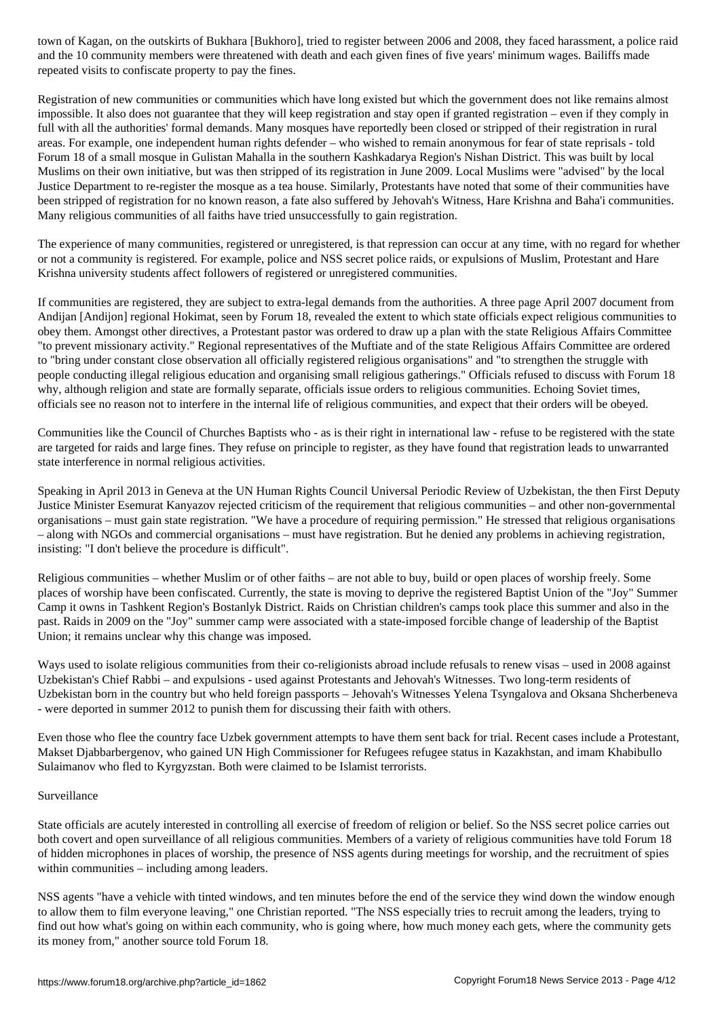and the 10 community members were threatened with death and each given fines of five years' minimum wages. Bailiffs made repeated visits to confiscate property to pay the fines.

Registration of new communities or communities which have long existed but which the government does not like remains almost impossible. It also does not guarantee that they will keep registration and stay open if granted registration – even if they comply in full with all the authorities' formal demands. Many mosques have reportedly been closed or stripped of their registration in rural areas. For example, one independent human rights defender – who wished to remain anonymous for fear of state reprisals - told Forum 18 of a small mosque in Gulistan Mahalla in the southern Kashkadarya Region's Nishan District. This was built by local Muslims on their own initiative, but was then stripped of its registration in June 2009. Local Muslims were "advised" by the local Justice Department to re-register the mosque as a tea house. Similarly, Protestants have noted that some of their communities have been stripped of registration for no known reason, a fate also suffered by Jehovah's Witness, Hare Krishna and Baha'i communities. Many religious communities of all faiths have tried unsuccessfully to gain registration.

The experience of many communities, registered or unregistered, is that repression can occur at any time, with no regard for whether or not a community is registered. For example, police and NSS secret police raids, or expulsions of Muslim, Protestant and Hare Krishna university students affect followers of registered or unregistered communities.

If communities are registered, they are subject to extra-legal demands from the authorities. A three page April 2007 document from Andijan [Andijon] regional Hokimat, seen by Forum 18, revealed the extent to which state officials expect religious communities to obey them. Amongst other directives, a Protestant pastor was ordered to draw up a plan with the state Religious Affairs Committee "to prevent missionary activity." Regional representatives of the Muftiate and of the state Religious Affairs Committee are ordered to "bring under constant close observation all officially registered religious organisations" and "to strengthen the struggle with people conducting illegal religious education and organising small religious gatherings." Officials refused to discuss with Forum 18 why, although religion and state are formally separate, officials issue orders to religious communities. Echoing Soviet times, officials see no reason not to interfere in the internal life of religious communities, and expect that their orders will be obeyed.

Communities like the Council of Churches Baptists who - as is their right in international law - refuse to be registered with the state are targeted for raids and large fines. They refuse on principle to register, as they have found that registration leads to unwarranted state interference in normal religious activities.

Speaking in April 2013 in Geneva at the UN Human Rights Council Universal Periodic Review of Uzbekistan, the then First Deputy Justice Minister Esemurat Kanyazov rejected criticism of the requirement that religious communities – and other non-governmental organisations – must gain state registration. "We have a procedure of requiring permission." He stressed that religious organisations – along with NGOs and commercial organisations – must have registration. But he denied any problems in achieving registration, insisting: "I don't believe the procedure is difficult".

Religious communities – whether Muslim or of other faiths – are not able to buy, build or open places of worship freely. Some places of worship have been confiscated. Currently, the state is moving to deprive the registered Baptist Union of the "Joy" Summer Camp it owns in Tashkent Region's Bostanlyk District. Raids on Christian children's camps took place this summer and also in the past. Raids in 2009 on the "Joy" summer camp were associated with a state-imposed forcible change of leadership of the Baptist Union; it remains unclear why this change was imposed.

Ways used to isolate religious communities from their co-religionists abroad include refusals to renew visas – used in 2008 against Uzbekistan's Chief Rabbi – and expulsions - used against Protestants and Jehovah's Witnesses. Two long-term residents of Uzbekistan born in the country but who held foreign passports – Jehovah's Witnesses Yelena Tsyngalova and Oksana Shcherbeneva - were deported in summer 2012 to punish them for discussing their faith with others.

Even those who flee the country face Uzbek government attempts to have them sent back for trial. Recent cases include a Protestant, Makset Djabbarbergenov, who gained UN High Commissioner for Refugees refugee status in Kazakhstan, and imam Khabibullo Sulaimanov who fled to Kyrgyzstan. Both were claimed to be Islamist terrorists.

## Surveillance

State officials are acutely interested in controlling all exercise of freedom of religion or belief. So the NSS secret police carries out both covert and open surveillance of all religious communities. Members of a variety of religious communities have told Forum 18 of hidden microphones in places of worship, the presence of NSS agents during meetings for worship, and the recruitment of spies within communities – including among leaders.

NSS agents "have a vehicle with tinted windows, and ten minutes before the end of the service they wind down the window enough to allow them to film everyone leaving," one Christian reported. "The NSS especially tries to recruit among the leaders, trying to find out how what's going on within each community, who is going where, how much money each gets, where the community gets its money from," another source told Forum 18.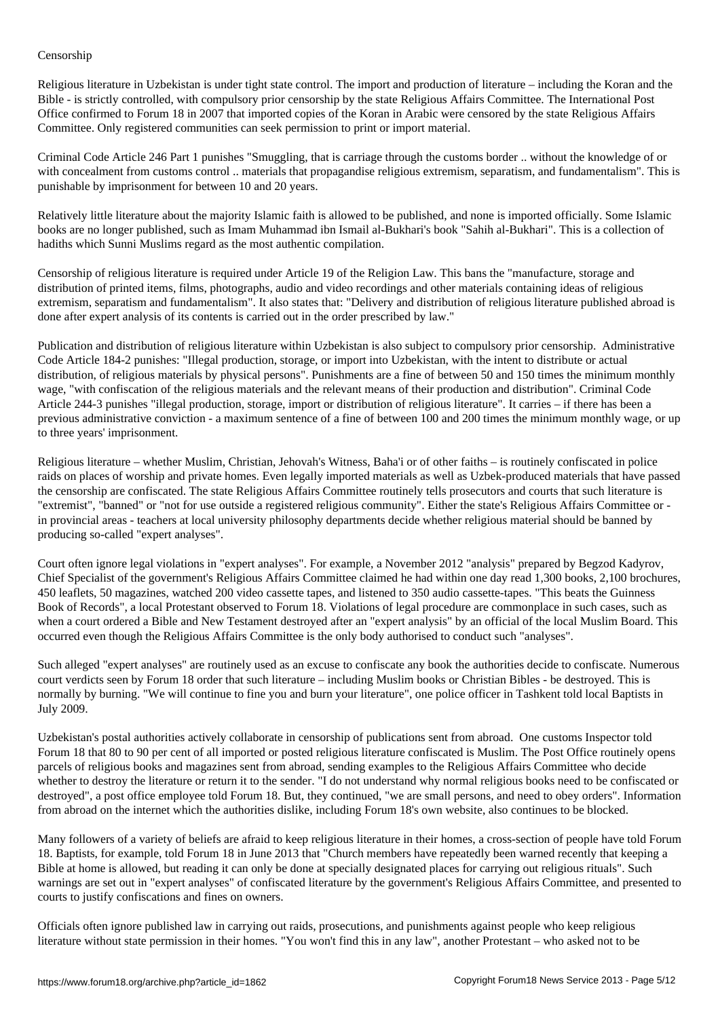Religious literature in Uzbekistan is under tight state control. The import and production of literature – including the Koran and the Bible - is strictly controlled, with compulsory prior censorship by the state Religious Affairs Committee. The International Post Office confirmed to Forum 18 in 2007 that imported copies of the Koran in Arabic were censored by the state Religious Affairs Committee. Only registered communities can seek permission to print or import material.

Criminal Code Article 246 Part 1 punishes "Smuggling, that is carriage through the customs border .. without the knowledge of or with concealment from customs control .. materials that propagandise religious extremism, separatism, and fundamentalism". This is punishable by imprisonment for between 10 and 20 years.

Relatively little literature about the majority Islamic faith is allowed to be published, and none is imported officially. Some Islamic books are no longer published, such as Imam Muhammad ibn Ismail al-Bukhari's book "Sahih al-Bukhari". This is a collection of hadiths which Sunni Muslims regard as the most authentic compilation.

Censorship of religious literature is required under Article 19 of the Religion Law. This bans the "manufacture, storage and distribution of printed items, films, photographs, audio and video recordings and other materials containing ideas of religious extremism, separatism and fundamentalism". It also states that: "Delivery and distribution of religious literature published abroad is done after expert analysis of its contents is carried out in the order prescribed by law."

Publication and distribution of religious literature within Uzbekistan is also subject to compulsory prior censorship. Administrative Code Article 184-2 punishes: "Illegal production, storage, or import into Uzbekistan, with the intent to distribute or actual distribution, of religious materials by physical persons". Punishments are a fine of between 50 and 150 times the minimum monthly wage, "with confiscation of the religious materials and the relevant means of their production and distribution". Criminal Code Article 244-3 punishes "illegal production, storage, import or distribution of religious literature". It carries – if there has been a previous administrative conviction - a maximum sentence of a fine of between 100 and 200 times the minimum monthly wage, or up to three years' imprisonment.

Religious literature – whether Muslim, Christian, Jehovah's Witness, Baha'i or of other faiths – is routinely confiscated in police raids on places of worship and private homes. Even legally imported materials as well as Uzbek-produced materials that have passed the censorship are confiscated. The state Religious Affairs Committee routinely tells prosecutors and courts that such literature is "extremist", "banned" or "not for use outside a registered religious community". Either the state's Religious Affairs Committee or in provincial areas - teachers at local university philosophy departments decide whether religious material should be banned by producing so-called "expert analyses".

Court often ignore legal violations in "expert analyses". For example, a November 2012 "analysis" prepared by Begzod Kadyrov, Chief Specialist of the government's Religious Affairs Committee claimed he had within one day read 1,300 books, 2,100 brochures, 450 leaflets, 50 magazines, watched 200 video cassette tapes, and listened to 350 audio cassette-tapes. "This beats the Guinness Book of Records", a local Protestant observed to Forum 18. Violations of legal procedure are commonplace in such cases, such as when a court ordered a Bible and New Testament destroyed after an "expert analysis" by an official of the local Muslim Board. This occurred even though the Religious Affairs Committee is the only body authorised to conduct such "analyses".

Such alleged "expert analyses" are routinely used as an excuse to confiscate any book the authorities decide to confiscate. Numerous court verdicts seen by Forum 18 order that such literature – including Muslim books or Christian Bibles - be destroyed. This is normally by burning. "We will continue to fine you and burn your literature", one police officer in Tashkent told local Baptists in July 2009.

Uzbekistan's postal authorities actively collaborate in censorship of publications sent from abroad. One customs Inspector told Forum 18 that 80 to 90 per cent of all imported or posted religious literature confiscated is Muslim. The Post Office routinely opens parcels of religious books and magazines sent from abroad, sending examples to the Religious Affairs Committee who decide whether to destroy the literature or return it to the sender. "I do not understand why normal religious books need to be confiscated or destroyed", a post office employee told Forum 18. But, they continued, "we are small persons, and need to obey orders". Information from abroad on the internet which the authorities dislike, including Forum 18's own website, also continues to be blocked.

Many followers of a variety of beliefs are afraid to keep religious literature in their homes, a cross-section of people have told Forum 18. Baptists, for example, told Forum 18 in June 2013 that "Church members have repeatedly been warned recently that keeping a Bible at home is allowed, but reading it can only be done at specially designated places for carrying out religious rituals". Such warnings are set out in "expert analyses" of confiscated literature by the government's Religious Affairs Committee, and presented to courts to justify confiscations and fines on owners.

Officials often ignore published law in carrying out raids, prosecutions, and punishments against people who keep religious literature without state permission in their homes. "You won't find this in any law", another Protestant – who asked not to be

Censorship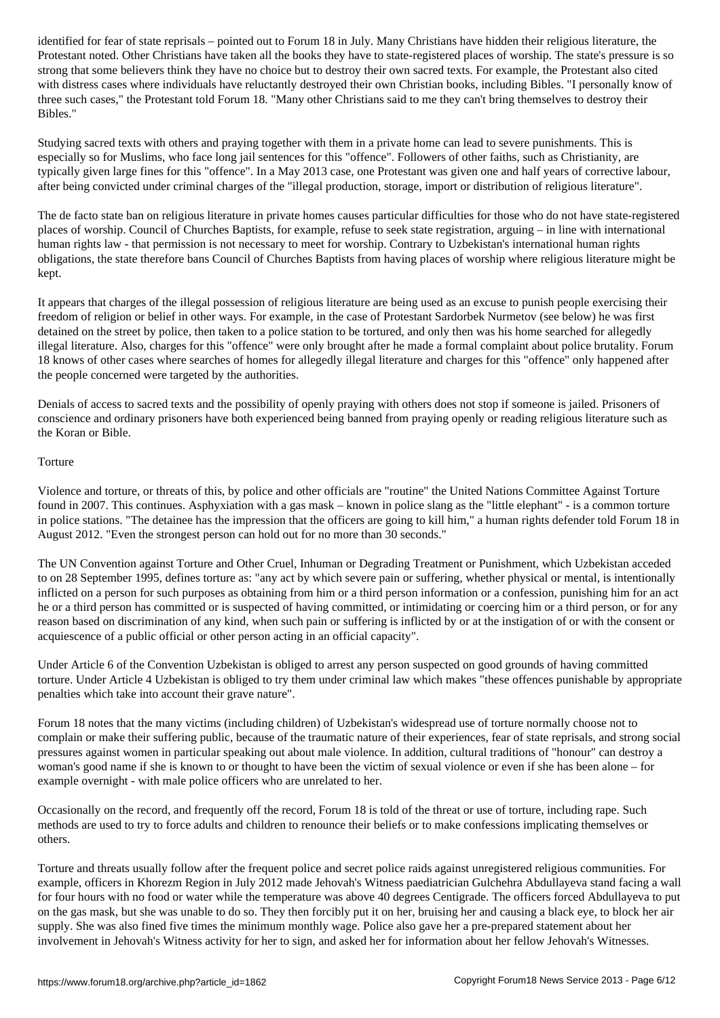Protestant noted. Other Christians have taken all the books they have to state-registered places of worship. The state's pressure is so strong that some believers think they have no choice but to destroy their own sacred texts. For example, the Protestant also cited with distress cases where individuals have reluctantly destroyed their own Christian books, including Bibles. "I personally know of three such cases," the Protestant told Forum 18. "Many other Christians said to me they can't bring themselves to destroy their Bibles."

Studying sacred texts with others and praying together with them in a private home can lead to severe punishments. This is especially so for Muslims, who face long jail sentences for this "offence". Followers of other faiths, such as Christianity, are typically given large fines for this "offence". In a May 2013 case, one Protestant was given one and half years of corrective labour, after being convicted under criminal charges of the "illegal production, storage, import or distribution of religious literature".

The de facto state ban on religious literature in private homes causes particular difficulties for those who do not have state-registered places of worship. Council of Churches Baptists, for example, refuse to seek state registration, arguing – in line with international human rights law - that permission is not necessary to meet for worship. Contrary to Uzbekistan's international human rights obligations, the state therefore bans Council of Churches Baptists from having places of worship where religious literature might be kept.

It appears that charges of the illegal possession of religious literature are being used as an excuse to punish people exercising their freedom of religion or belief in other ways. For example, in the case of Protestant Sardorbek Nurmetov (see below) he was first detained on the street by police, then taken to a police station to be tortured, and only then was his home searched for allegedly illegal literature. Also, charges for this "offence" were only brought after he made a formal complaint about police brutality. Forum 18 knows of other cases where searches of homes for allegedly illegal literature and charges for this "offence" only happened after the people concerned were targeted by the authorities.

Denials of access to sacred texts and the possibility of openly praying with others does not stop if someone is jailed. Prisoners of conscience and ordinary prisoners have both experienced being banned from praying openly or reading religious literature such as the Koran or Bible.

## Torture

Violence and torture, or threats of this, by police and other officials are "routine" the United Nations Committee Against Torture found in 2007. This continues. Asphyxiation with a gas mask – known in police slang as the "little elephant" - is a common torture in police stations. "The detainee has the impression that the officers are going to kill him," a human rights defender told Forum 18 in August 2012. "Even the strongest person can hold out for no more than 30 seconds."

The UN Convention against Torture and Other Cruel, Inhuman or Degrading Treatment or Punishment, which Uzbekistan acceded to on 28 September 1995, defines torture as: "any act by which severe pain or suffering, whether physical or mental, is intentionally inflicted on a person for such purposes as obtaining from him or a third person information or a confession, punishing him for an act he or a third person has committed or is suspected of having committed, or intimidating or coercing him or a third person, or for any reason based on discrimination of any kind, when such pain or suffering is inflicted by or at the instigation of or with the consent or acquiescence of a public official or other person acting in an official capacity".

Under Article 6 of the Convention Uzbekistan is obliged to arrest any person suspected on good grounds of having committed torture. Under Article 4 Uzbekistan is obliged to try them under criminal law which makes "these offences punishable by appropriate penalties which take into account their grave nature".

Forum 18 notes that the many victims (including children) of Uzbekistan's widespread use of torture normally choose not to complain or make their suffering public, because of the traumatic nature of their experiences, fear of state reprisals, and strong social pressures against women in particular speaking out about male violence. In addition, cultural traditions of "honour" can destroy a woman's good name if she is known to or thought to have been the victim of sexual violence or even if she has been alone – for example overnight - with male police officers who are unrelated to her.

Occasionally on the record, and frequently off the record, Forum 18 is told of the threat or use of torture, including rape. Such methods are used to try to force adults and children to renounce their beliefs or to make confessions implicating themselves or others.

Torture and threats usually follow after the frequent police and secret police raids against unregistered religious communities. For example, officers in Khorezm Region in July 2012 made Jehovah's Witness paediatrician Gulchehra Abdullayeva stand facing a wall for four hours with no food or water while the temperature was above 40 degrees Centigrade. The officers forced Abdullayeva to put on the gas mask, but she was unable to do so. They then forcibly put it on her, bruising her and causing a black eye, to block her air supply. She was also fined five times the minimum monthly wage. Police also gave her a pre-prepared statement about her involvement in Jehovah's Witness activity for her to sign, and asked her for information about her fellow Jehovah's Witnesses.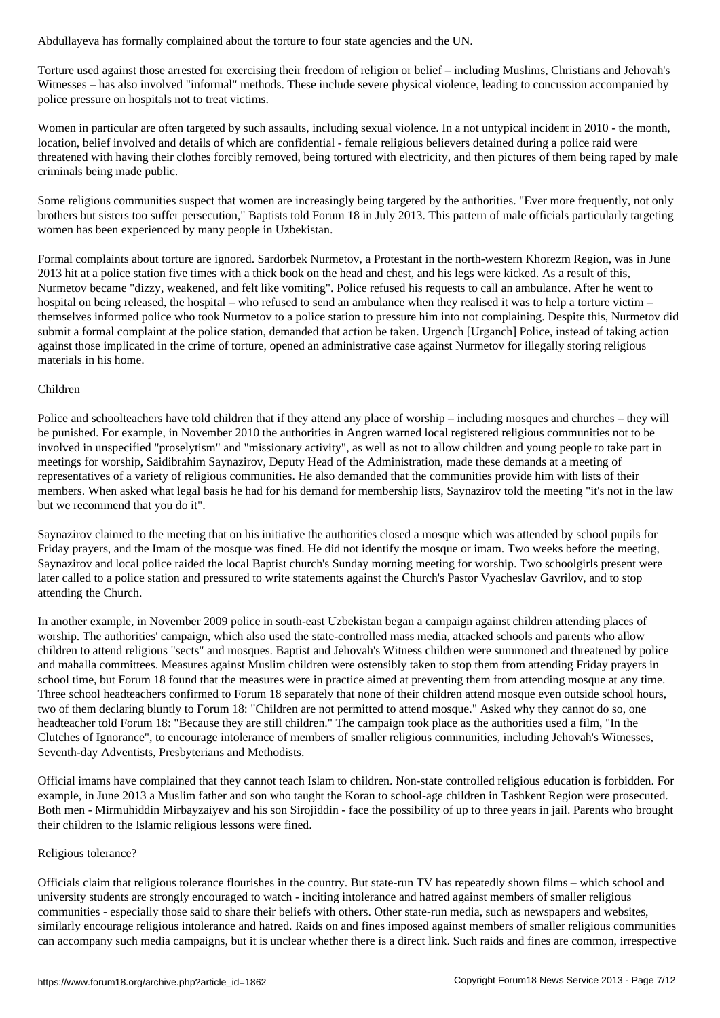Torture used against those arrested for exercising their freedom of religion or belief – including Muslims, Christians and Jehovah's Witnesses – has also involved "informal" methods. These include severe physical violence, leading to concussion accompanied by police pressure on hospitals not to treat victims.

Women in particular are often targeted by such assaults, including sexual violence. In a not untypical incident in 2010 - the month, location, belief involved and details of which are confidential - female religious believers detained during a police raid were threatened with having their clothes forcibly removed, being tortured with electricity, and then pictures of them being raped by male criminals being made public.

Some religious communities suspect that women are increasingly being targeted by the authorities. "Ever more frequently, not only brothers but sisters too suffer persecution," Baptists told Forum 18 in July 2013. This pattern of male officials particularly targeting women has been experienced by many people in Uzbekistan.

Formal complaints about torture are ignored. Sardorbek Nurmetov, a Protestant in the north-western Khorezm Region, was in June 2013 hit at a police station five times with a thick book on the head and chest, and his legs were kicked. As a result of this, Nurmetov became "dizzy, weakened, and felt like vomiting". Police refused his requests to call an ambulance. After he went to hospital on being released, the hospital – who refused to send an ambulance when they realised it was to help a torture victim – themselves informed police who took Nurmetov to a police station to pressure him into not complaining. Despite this, Nurmetov did submit a formal complaint at the police station, demanded that action be taken. Urgench [Urganch] Police, instead of taking action against those implicated in the crime of torture, opened an administrative case against Nurmetov for illegally storing religious materials in his home.

## Children

Police and schoolteachers have told children that if they attend any place of worship – including mosques and churches – they will be punished. For example, in November 2010 the authorities in Angren warned local registered religious communities not to be involved in unspecified "proselytism" and "missionary activity", as well as not to allow children and young people to take part in meetings for worship, Saidibrahim Saynazirov, Deputy Head of the Administration, made these demands at a meeting of representatives of a variety of religious communities. He also demanded that the communities provide him with lists of their members. When asked what legal basis he had for his demand for membership lists, Saynazirov told the meeting "it's not in the law but we recommend that you do it".

Saynazirov claimed to the meeting that on his initiative the authorities closed a mosque which was attended by school pupils for Friday prayers, and the Imam of the mosque was fined. He did not identify the mosque or imam. Two weeks before the meeting, Saynazirov and local police raided the local Baptist church's Sunday morning meeting for worship. Two schoolgirls present were later called to a police station and pressured to write statements against the Church's Pastor Vyacheslav Gavrilov, and to stop attending the Church.

In another example, in November 2009 police in south-east Uzbekistan began a campaign against children attending places of worship. The authorities' campaign, which also used the state-controlled mass media, attacked schools and parents who allow children to attend religious "sects" and mosques. Baptist and Jehovah's Witness children were summoned and threatened by police and mahalla committees. Measures against Muslim children were ostensibly taken to stop them from attending Friday prayers in school time, but Forum 18 found that the measures were in practice aimed at preventing them from attending mosque at any time. Three school headteachers confirmed to Forum 18 separately that none of their children attend mosque even outside school hours, two of them declaring bluntly to Forum 18: "Children are not permitted to attend mosque." Asked why they cannot do so, one headteacher told Forum 18: "Because they are still children." The campaign took place as the authorities used a film, "In the Clutches of Ignorance", to encourage intolerance of members of smaller religious communities, including Jehovah's Witnesses, Seventh-day Adventists, Presbyterians and Methodists.

Official imams have complained that they cannot teach Islam to children. Non-state controlled religious education is forbidden. For example, in June 2013 a Muslim father and son who taught the Koran to school-age children in Tashkent Region were prosecuted. Both men - Mirmuhiddin Mirbayzaiyev and his son Sirojiddin - face the possibility of up to three years in jail. Parents who brought their children to the Islamic religious lessons were fined.

## Religious tolerance?

Officials claim that religious tolerance flourishes in the country. But state-run TV has repeatedly shown films – which school and university students are strongly encouraged to watch - inciting intolerance and hatred against members of smaller religious communities - especially those said to share their beliefs with others. Other state-run media, such as newspapers and websites, similarly encourage religious intolerance and hatred. Raids on and fines imposed against members of smaller religious communities can accompany such media campaigns, but it is unclear whether there is a direct link. Such raids and fines are common, irrespective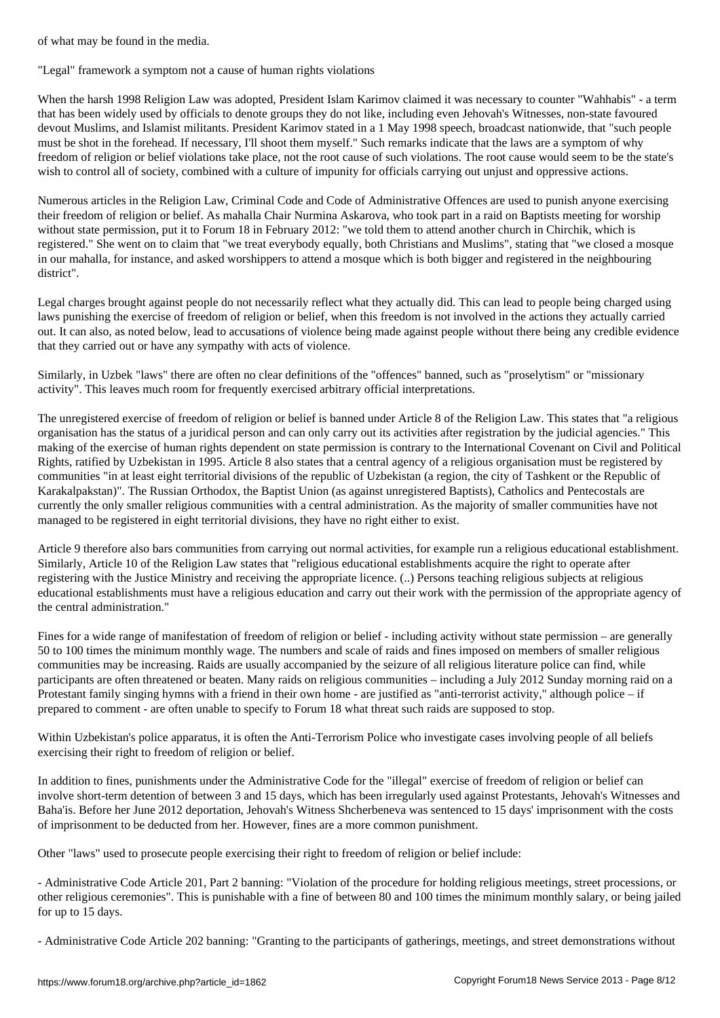"Legal" framework a symptom not a cause of human rights violations

When the harsh 1998 Religion Law was adopted, President Islam Karimov claimed it was necessary to counter "Wahhabis" - a term that has been widely used by officials to denote groups they do not like, including even Jehovah's Witnesses, non-state favoured devout Muslims, and Islamist militants. President Karimov stated in a 1 May 1998 speech, broadcast nationwide, that "such people must be shot in the forehead. If necessary, I'll shoot them myself." Such remarks indicate that the laws are a symptom of why freedom of religion or belief violations take place, not the root cause of such violations. The root cause would seem to be the state's wish to control all of society, combined with a culture of impunity for officials carrying out unjust and oppressive actions.

Numerous articles in the Religion Law, Criminal Code and Code of Administrative Offences are used to punish anyone exercising their freedom of religion or belief. As mahalla Chair Nurmina Askarova, who took part in a raid on Baptists meeting for worship without state permission, put it to Forum 18 in February 2012: "we told them to attend another church in Chirchik, which is registered." She went on to claim that "we treat everybody equally, both Christians and Muslims", stating that "we closed a mosque in our mahalla, for instance, and asked worshippers to attend a mosque which is both bigger and registered in the neighbouring district".

Legal charges brought against people do not necessarily reflect what they actually did. This can lead to people being charged using laws punishing the exercise of freedom of religion or belief, when this freedom is not involved in the actions they actually carried out. It can also, as noted below, lead to accusations of violence being made against people without there being any credible evidence that they carried out or have any sympathy with acts of violence.

Similarly, in Uzbek "laws" there are often no clear definitions of the "offences" banned, such as "proselytism" or "missionary activity". This leaves much room for frequently exercised arbitrary official interpretations.

The unregistered exercise of freedom of religion or belief is banned under Article 8 of the Religion Law. This states that "a religious organisation has the status of a juridical person and can only carry out its activities after registration by the judicial agencies." This making of the exercise of human rights dependent on state permission is contrary to the International Covenant on Civil and Political Rights, ratified by Uzbekistan in 1995. Article 8 also states that a central agency of a religious organisation must be registered by communities "in at least eight territorial divisions of the republic of Uzbekistan (a region, the city of Tashkent or the Republic of Karakalpakstan)". The Russian Orthodox, the Baptist Union (as against unregistered Baptists), Catholics and Pentecostals are currently the only smaller religious communities with a central administration. As the majority of smaller communities have not managed to be registered in eight territorial divisions, they have no right either to exist.

Article 9 therefore also bars communities from carrying out normal activities, for example run a religious educational establishment. Similarly, Article 10 of the Religion Law states that "religious educational establishments acquire the right to operate after registering with the Justice Ministry and receiving the appropriate licence. (..) Persons teaching religious subjects at religious educational establishments must have a religious education and carry out their work with the permission of the appropriate agency of the central administration."

Fines for a wide range of manifestation of freedom of religion or belief - including activity without state permission – are generally 50 to 100 times the minimum monthly wage. The numbers and scale of raids and fines imposed on members of smaller religious communities may be increasing. Raids are usually accompanied by the seizure of all religious literature police can find, while participants are often threatened or beaten. Many raids on religious communities – including a July 2012 Sunday morning raid on a Protestant family singing hymns with a friend in their own home - are justified as "anti-terrorist activity," although police – if prepared to comment - are often unable to specify to Forum 18 what threat such raids are supposed to stop.

Within Uzbekistan's police apparatus, it is often the Anti-Terrorism Police who investigate cases involving people of all beliefs exercising their right to freedom of religion or belief.

In addition to fines, punishments under the Administrative Code for the "illegal" exercise of freedom of religion or belief can involve short-term detention of between 3 and 15 days, which has been irregularly used against Protestants, Jehovah's Witnesses and Baha'is. Before her June 2012 deportation, Jehovah's Witness Shcherbeneva was sentenced to 15 days' imprisonment with the costs of imprisonment to be deducted from her. However, fines are a more common punishment.

Other "laws" used to prosecute people exercising their right to freedom of religion or belief include:

- Administrative Code Article 201, Part 2 banning: "Violation of the procedure for holding religious meetings, street processions, or other religious ceremonies". This is punishable with a fine of between 80 and 100 times the minimum monthly salary, or being jailed for up to 15 days.

- Administrative Code Article 202 banning: "Granting to the participants of gatherings, meetings, and street demonstrations without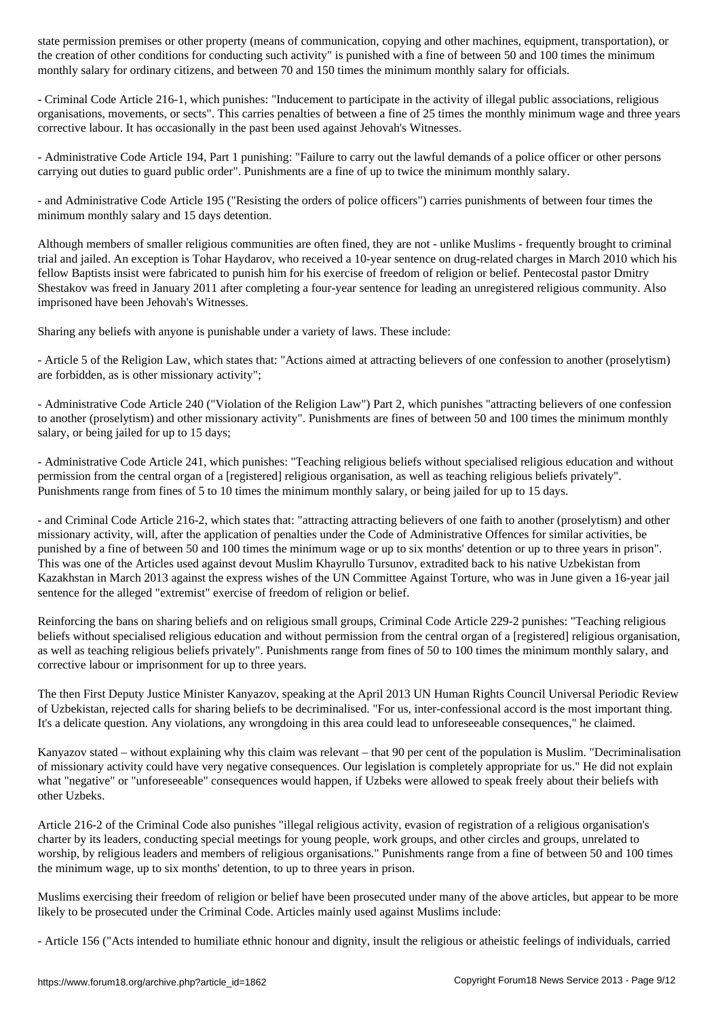the conditions for conducting such activity is punished with a fine of between  $\mathcal{L}$ monthly salary for ordinary citizens, and between 70 and 150 times the minimum monthly salary for officials.

- Criminal Code Article 216-1, which punishes: "Inducement to participate in the activity of illegal public associations, religious organisations, movements, or sects". This carries penalties of between a fine of 25 times the monthly minimum wage and three years corrective labour. It has occasionally in the past been used against Jehovah's Witnesses.

- Administrative Code Article 194, Part 1 punishing: "Failure to carry out the lawful demands of a police officer or other persons carrying out duties to guard public order". Punishments are a fine of up to twice the minimum monthly salary.

- and Administrative Code Article 195 ("Resisting the orders of police officers") carries punishments of between four times the minimum monthly salary and 15 days detention.

Although members of smaller religious communities are often fined, they are not - unlike Muslims - frequently brought to criminal trial and jailed. An exception is Tohar Haydarov, who received a 10-year sentence on drug-related charges in March 2010 which his fellow Baptists insist were fabricated to punish him for his exercise of freedom of religion or belief. Pentecostal pastor Dmitry Shestakov was freed in January 2011 after completing a four-year sentence for leading an unregistered religious community. Also imprisoned have been Jehovah's Witnesses.

Sharing any beliefs with anyone is punishable under a variety of laws. These include:

- Article 5 of the Religion Law, which states that: "Actions aimed at attracting believers of one confession to another (proselytism) are forbidden, as is other missionary activity";

- Administrative Code Article 240 ("Violation of the Religion Law") Part 2, which punishes "attracting believers of one confession to another (proselytism) and other missionary activity". Punishments are fines of between 50 and 100 times the minimum monthly salary, or being jailed for up to 15 days;

- Administrative Code Article 241, which punishes: "Teaching religious beliefs without specialised religious education and without permission from the central organ of a [registered] religious organisation, as well as teaching religious beliefs privately". Punishments range from fines of 5 to 10 times the minimum monthly salary, or being jailed for up to 15 days.

- and Criminal Code Article 216-2, which states that: "attracting attracting believers of one faith to another (proselytism) and other missionary activity, will, after the application of penalties under the Code of Administrative Offences for similar activities, be punished by a fine of between 50 and 100 times the minimum wage or up to six months' detention or up to three years in prison". This was one of the Articles used against devout Muslim Khayrullo Tursunov, extradited back to his native Uzbekistan from Kazakhstan in March 2013 against the express wishes of the UN Committee Against Torture, who was in June given a 16-year jail sentence for the alleged "extremist" exercise of freedom of religion or belief.

Reinforcing the bans on sharing beliefs and on religious small groups, Criminal Code Article 229-2 punishes: "Teaching religious beliefs without specialised religious education and without permission from the central organ of a [registered] religious organisation, as well as teaching religious beliefs privately". Punishments range from fines of 50 to 100 times the minimum monthly salary, and corrective labour or imprisonment for up to three years.

The then First Deputy Justice Minister Kanyazov, speaking at the April 2013 UN Human Rights Council Universal Periodic Review of Uzbekistan, rejected calls for sharing beliefs to be decriminalised. "For us, inter-confessional accord is the most important thing. It's a delicate question. Any violations, any wrongdoing in this area could lead to unforeseeable consequences," he claimed.

Kanyazov stated – without explaining why this claim was relevant – that 90 per cent of the population is Muslim. "Decriminalisation of missionary activity could have very negative consequences. Our legislation is completely appropriate for us." He did not explain what "negative" or "unforeseeable" consequences would happen, if Uzbeks were allowed to speak freely about their beliefs with other Uzbeks.

Article 216-2 of the Criminal Code also punishes "illegal religious activity, evasion of registration of a religious organisation's charter by its leaders, conducting special meetings for young people, work groups, and other circles and groups, unrelated to worship, by religious leaders and members of religious organisations." Punishments range from a fine of between 50 and 100 times the minimum wage, up to six months' detention, to up to three years in prison.

Muslims exercising their freedom of religion or belief have been prosecuted under many of the above articles, but appear to be more likely to be prosecuted under the Criminal Code. Articles mainly used against Muslims include:

- Article 156 ("Acts intended to humiliate ethnic honour and dignity, insult the religious or atheistic feelings of individuals, carried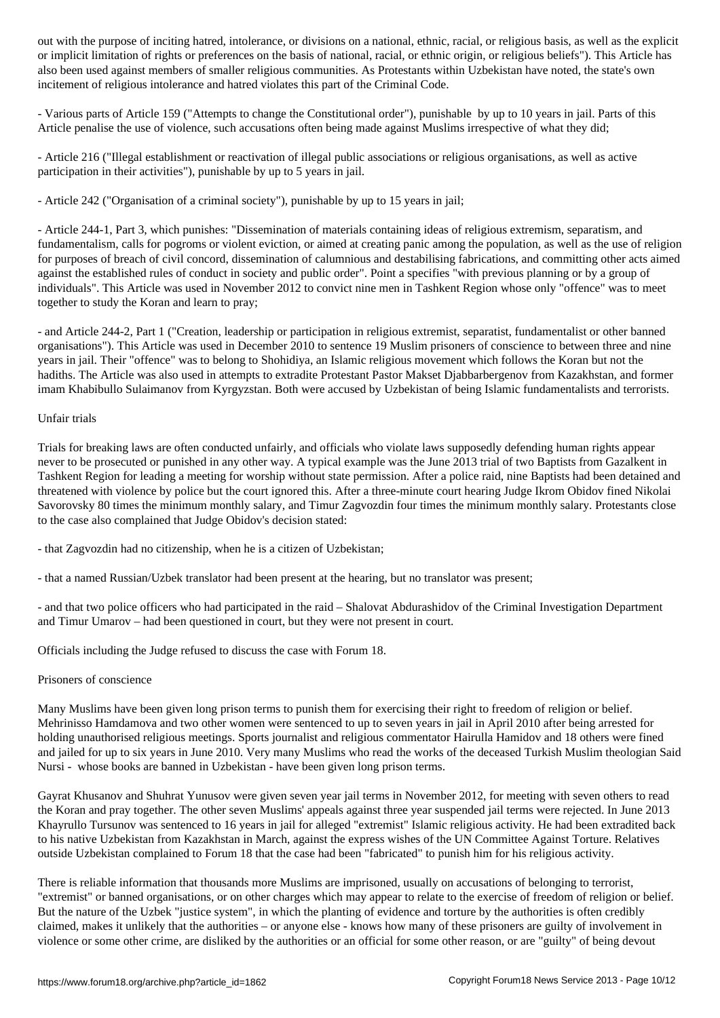or implicit limitation of rights or preferences on the basis of national, racial, or ethnic origin, or religious beliefs"). This Article has also been used against members of smaller religious communities. As Protestants within Uzbekistan have noted, the state's own incitement of religious intolerance and hatred violates this part of the Criminal Code.

- Various parts of Article 159 ("Attempts to change the Constitutional order"), punishable by up to 10 years in jail. Parts of this Article penalise the use of violence, such accusations often being made against Muslims irrespective of what they did;

- Article 216 ("Illegal establishment or reactivation of illegal public associations or religious organisations, as well as active participation in their activities"), punishable by up to 5 years in jail.

- Article 242 ("Organisation of a criminal society"), punishable by up to 15 years in jail;

- Article 244-1, Part 3, which punishes: "Dissemination of materials containing ideas of religious extremism, separatism, and fundamentalism, calls for pogroms or violent eviction, or aimed at creating panic among the population, as well as the use of religion for purposes of breach of civil concord, dissemination of calumnious and destabilising fabrications, and committing other acts aimed against the established rules of conduct in society and public order". Point a specifies "with previous planning or by a group of individuals". This Article was used in November 2012 to convict nine men in Tashkent Region whose only "offence" was to meet together to study the Koran and learn to pray;

- and Article 244-2, Part 1 ("Creation, leadership or participation in religious extremist, separatist, fundamentalist or other banned organisations"). This Article was used in December 2010 to sentence 19 Muslim prisoners of conscience to between three and nine years in jail. Their "offence" was to belong to Shohidiya, an Islamic religious movement which follows the Koran but not the hadiths. The Article was also used in attempts to extradite Protestant Pastor Makset Djabbarbergenov from Kazakhstan, and former imam Khabibullo Sulaimanov from Kyrgyzstan. Both were accused by Uzbekistan of being Islamic fundamentalists and terrorists.

#### Unfair trials

Trials for breaking laws are often conducted unfairly, and officials who violate laws supposedly defending human rights appear never to be prosecuted or punished in any other way. A typical example was the June 2013 trial of two Baptists from Gazalkent in Tashkent Region for leading a meeting for worship without state permission. After a police raid, nine Baptists had been detained and threatened with violence by police but the court ignored this. After a three-minute court hearing Judge Ikrom Obidov fined Nikolai Savorovsky 80 times the minimum monthly salary, and Timur Zagvozdin four times the minimum monthly salary. Protestants close to the case also complained that Judge Obidov's decision stated:

- that Zagvozdin had no citizenship, when he is a citizen of Uzbekistan;

- that a named Russian/Uzbek translator had been present at the hearing, but no translator was present;

- and that two police officers who had participated in the raid – Shalovat Abdurashidov of the Criminal Investigation Department and Timur Umarov – had been questioned in court, but they were not present in court.

Officials including the Judge refused to discuss the case with Forum 18.

#### Prisoners of conscience

Many Muslims have been given long prison terms to punish them for exercising their right to freedom of religion or belief. Mehrinisso Hamdamova and two other women were sentenced to up to seven years in jail in April 2010 after being arrested for holding unauthorised religious meetings. Sports journalist and religious commentator Hairulla Hamidov and 18 others were fined and jailed for up to six years in June 2010. Very many Muslims who read the works of the deceased Turkish Muslim theologian Said Nursi - whose books are banned in Uzbekistan - have been given long prison terms.

Gayrat Khusanov and Shuhrat Yunusov were given seven year jail terms in November 2012, for meeting with seven others to read the Koran and pray together. The other seven Muslims' appeals against three year suspended jail terms were rejected. In June 2013 Khayrullo Tursunov was sentenced to 16 years in jail for alleged "extremist" Islamic religious activity. He had been extradited back to his native Uzbekistan from Kazakhstan in March, against the express wishes of the UN Committee Against Torture. Relatives outside Uzbekistan complained to Forum 18 that the case had been "fabricated" to punish him for his religious activity.

There is reliable information that thousands more Muslims are imprisoned, usually on accusations of belonging to terrorist, "extremist" or banned organisations, or on other charges which may appear to relate to the exercise of freedom of religion or belief. But the nature of the Uzbek "justice system", in which the planting of evidence and torture by the authorities is often credibly claimed, makes it unlikely that the authorities – or anyone else - knows how many of these prisoners are guilty of involvement in violence or some other crime, are disliked by the authorities or an official for some other reason, or are "guilty" of being devout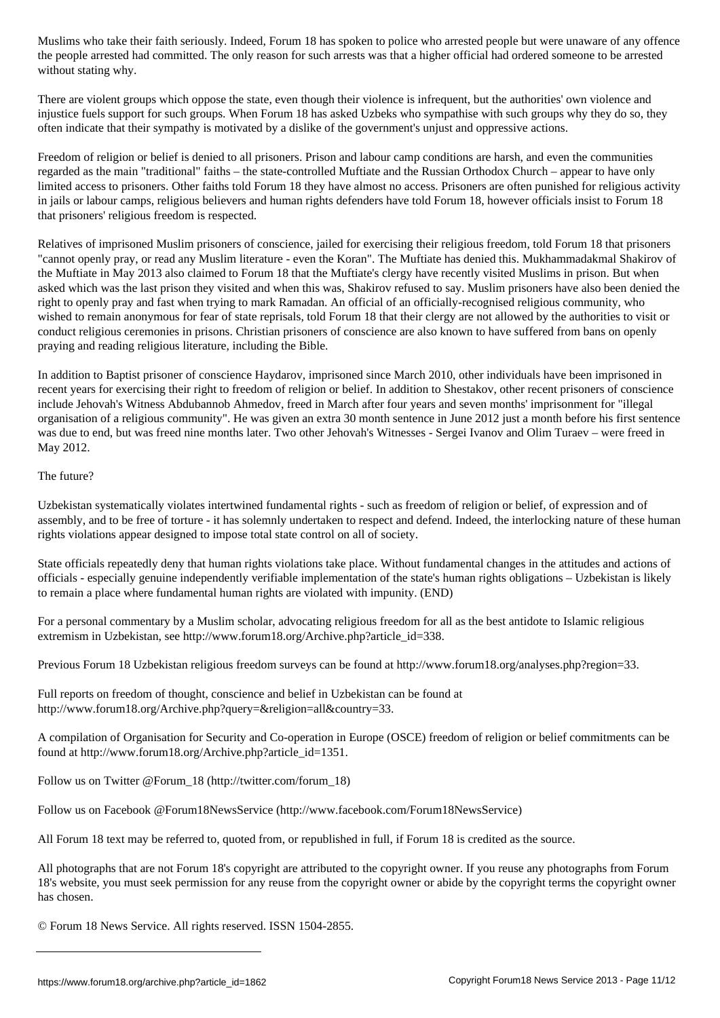the people arrested had committed. The only reason for such arrests was that a higher official had ordered someone to be arrested without stating why.

There are violent groups which oppose the state, even though their violence is infrequent, but the authorities' own violence and injustice fuels support for such groups. When Forum 18 has asked Uzbeks who sympathise with such groups why they do so, they often indicate that their sympathy is motivated by a dislike of the government's unjust and oppressive actions.

Freedom of religion or belief is denied to all prisoners. Prison and labour camp conditions are harsh, and even the communities regarded as the main "traditional" faiths – the state-controlled Muftiate and the Russian Orthodox Church – appear to have only limited access to prisoners. Other faiths told Forum 18 they have almost no access. Prisoners are often punished for religious activity in jails or labour camps, religious believers and human rights defenders have told Forum 18, however officials insist to Forum 18 that prisoners' religious freedom is respected.

Relatives of imprisoned Muslim prisoners of conscience, jailed for exercising their religious freedom, told Forum 18 that prisoners "cannot openly pray, or read any Muslim literature - even the Koran". The Muftiate has denied this. Mukhammadakmal Shakirov of the Muftiate in May 2013 also claimed to Forum 18 that the Muftiate's clergy have recently visited Muslims in prison. But when asked which was the last prison they visited and when this was, Shakirov refused to say. Muslim prisoners have also been denied the right to openly pray and fast when trying to mark Ramadan. An official of an officially-recognised religious community, who wished to remain anonymous for fear of state reprisals, told Forum 18 that their clergy are not allowed by the authorities to visit or conduct religious ceremonies in prisons. Christian prisoners of conscience are also known to have suffered from bans on openly praying and reading religious literature, including the Bible.

In addition to Baptist prisoner of conscience Haydarov, imprisoned since March 2010, other individuals have been imprisoned in recent years for exercising their right to freedom of religion or belief. In addition to Shestakov, other recent prisoners of conscience include Jehovah's Witness Abdubannob Ahmedov, freed in March after four years and seven months' imprisonment for "illegal organisation of a religious community". He was given an extra 30 month sentence in June 2012 just a month before his first sentence was due to end, but was freed nine months later. Two other Jehovah's Witnesses - Sergei Ivanov and Olim Turaev – were freed in May 2012.

The future?

Uzbekistan systematically violates intertwined fundamental rights - such as freedom of religion or belief, of expression and of assembly, and to be free of torture - it has solemnly undertaken to respect and defend. Indeed, the interlocking nature of these human rights violations appear designed to impose total state control on all of society.

State officials repeatedly deny that human rights violations take place. Without fundamental changes in the attitudes and actions of officials - especially genuine independently verifiable implementation of the state's human rights obligations – Uzbekistan is likely to remain a place where fundamental human rights are violated with impunity. (END)

For a personal commentary by a Muslim scholar, advocating religious freedom for all as the best antidote to Islamic religious extremism in Uzbekistan, see http://www.forum18.org/Archive.php?article\_id=338.

Previous Forum 18 Uzbekistan religious freedom surveys can be found at http://www.forum18.org/analyses.php?region=33.

Full reports on freedom of thought, conscience and belief in Uzbekistan can be found at http://www.forum18.org/Archive.php?query=&religion=all&country=33.

A compilation of Organisation for Security and Co-operation in Europe (OSCE) freedom of religion or belief commitments can be found at http://www.forum18.org/Archive.php?article\_id=1351.

Follow us on Twitter @Forum\_18 (http://twitter.com/forum\_18)

Follow us on Facebook @Forum18NewsService (http://www.facebook.com/Forum18NewsService)

All Forum 18 text may be referred to, quoted from, or republished in full, if Forum 18 is credited as the source.

All photographs that are not Forum 18's copyright are attributed to the copyright owner. If you reuse any photographs from Forum 18's website, you must seek permission for any reuse from the copyright owner or abide by the copyright terms the copyright owner has chosen.

© Forum 18 News Service. All rights reserved. ISSN 1504-2855.